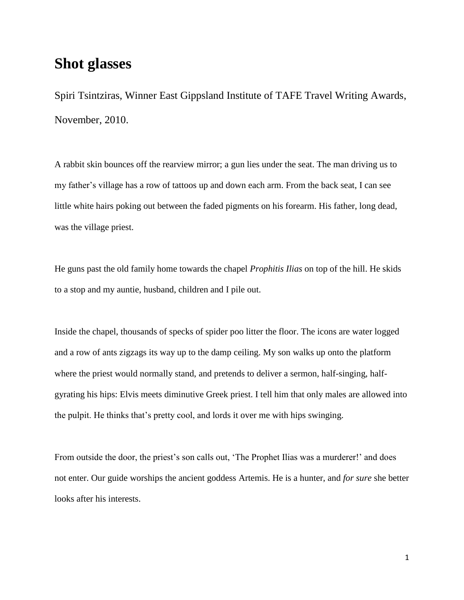## **Shot glasses**

Spiri Tsintziras, Winner East Gippsland Institute of TAFE Travel Writing Awards, November, 2010.

A rabbit skin bounces off the rearview mirror; a gun lies under the seat. The man driving us to my father's village has a row of tattoos up and down each arm. From the back seat, I can see little white hairs poking out between the faded pigments on his forearm. His father, long dead, was the village priest.

He guns past the old family home towards the chapel *Prophitis Ilias* on top of the hill. He skids to a stop and my auntie, husband, children and I pile out.

Inside the chapel, thousands of specks of spider poo litter the floor. The icons are water logged and a row of ants zigzags its way up to the damp ceiling. My son walks up onto the platform where the priest would normally stand, and pretends to deliver a sermon, half-singing, halfgyrating his hips: Elvis meets diminutive Greek priest. I tell him that only males are allowed into the pulpit. He thinks that's pretty cool, and lords it over me with hips swinging.

From outside the door, the priest's son calls out, 'The Prophet Ilias was a murderer!' and does not enter. Our guide worships the ancient goddess Artemis. He is a hunter, and *for sure* she better looks after his interests.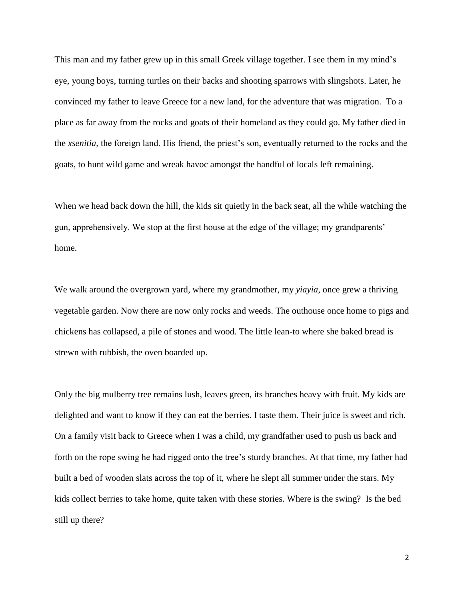This man and my father grew up in this small Greek village together. I see them in my mind's eye, young boys, turning turtles on their backs and shooting sparrows with slingshots. Later, he convinced my father to leave Greece for a new land, for the adventure that was migration. To a place as far away from the rocks and goats of their homeland as they could go. My father died in the *xsenitia*, the foreign land. His friend, the priest's son, eventually returned to the rocks and the goats, to hunt wild game and wreak havoc amongst the handful of locals left remaining.

When we head back down the hill, the kids sit quietly in the back seat, all the while watching the gun, apprehensively. We stop at the first house at the edge of the village; my grandparents' home.

We walk around the overgrown yard, where my grandmother, my *yiayia*, once grew a thriving vegetable garden. Now there are now only rocks and weeds. The outhouse once home to pigs and chickens has collapsed, a pile of stones and wood. The little lean-to where she baked bread is strewn with rubbish, the oven boarded up.

Only the big mulberry tree remains lush, leaves green, its branches heavy with fruit. My kids are delighted and want to know if they can eat the berries. I taste them. Their juice is sweet and rich. On a family visit back to Greece when I was a child, my grandfather used to push us back and forth on the rope swing he had rigged onto the tree's sturdy branches. At that time, my father had built a bed of wooden slats across the top of it, where he slept all summer under the stars. My kids collect berries to take home, quite taken with these stories. Where is the swing? Is the bed still up there?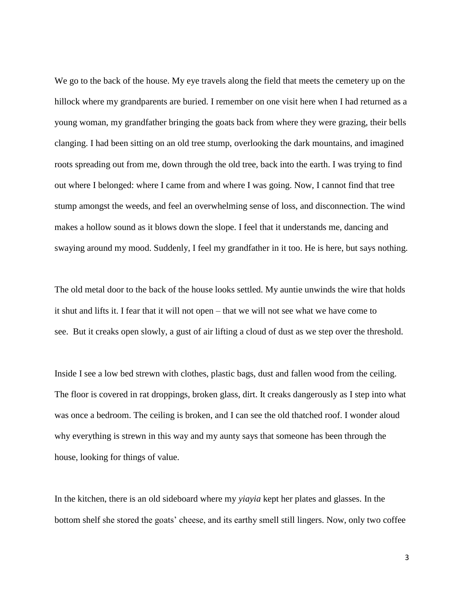We go to the back of the house. My eye travels along the field that meets the cemetery up on the hillock where my grandparents are buried. I remember on one visit here when I had returned as a young woman, my grandfather bringing the goats back from where they were grazing, their bells clanging. I had been sitting on an old tree stump, overlooking the dark mountains, and imagined roots spreading out from me, down through the old tree, back into the earth. I was trying to find out where I belonged: where I came from and where I was going. Now, I cannot find that tree stump amongst the weeds, and feel an overwhelming sense of loss, and disconnection. The wind makes a hollow sound as it blows down the slope. I feel that it understands me, dancing and swaying around my mood. Suddenly, I feel my grandfather in it too. He is here, but says nothing.

The old metal door to the back of the house looks settled. My auntie unwinds the wire that holds it shut and lifts it. I fear that it will not open – that we will not see what we have come to see. But it creaks open slowly, a gust of air lifting a cloud of dust as we step over the threshold.

Inside I see a low bed strewn with clothes, plastic bags, dust and fallen wood from the ceiling. The floor is covered in rat droppings, broken glass, dirt. It creaks dangerously as I step into what was once a bedroom. The ceiling is broken, and I can see the old thatched roof. I wonder aloud why everything is strewn in this way and my aunty says that someone has been through the house, looking for things of value.

In the kitchen, there is an old sideboard where my *yiayia* kept her plates and glasses. In the bottom shelf she stored the goats' cheese, and its earthy smell still lingers. Now, only two coffee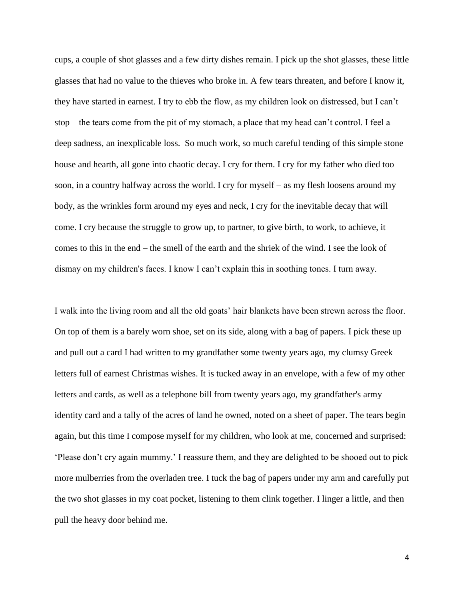cups, a couple of shot glasses and a few dirty dishes remain. I pick up the shot glasses, these little glasses that had no value to the thieves who broke in. A few tears threaten, and before I know it, they have started in earnest. I try to ebb the flow, as my children look on distressed, but I can't stop – the tears come from the pit of my stomach, a place that my head can't control. I feel a deep sadness, an inexplicable loss. So much work, so much careful tending of this simple stone house and hearth, all gone into chaotic decay. I cry for them. I cry for my father who died too soon, in a country halfway across the world. I cry for myself – as my flesh loosens around my body, as the wrinkles form around my eyes and neck, I cry for the inevitable decay that will come. I cry because the struggle to grow up, to partner, to give birth, to work, to achieve, it comes to this in the end – the smell of the earth and the shriek of the wind. I see the look of dismay on my children's faces. I know I can't explain this in soothing tones. I turn away.

I walk into the living room and all the old goats' hair blankets have been strewn across the floor. On top of them is a barely worn shoe, set on its side, along with a bag of papers. I pick these up and pull out a card I had written to my grandfather some twenty years ago, my clumsy Greek letters full of earnest Christmas wishes. It is tucked away in an envelope, with a few of my other letters and cards, as well as a telephone bill from twenty years ago, my grandfather's army identity card and a tally of the acres of land he owned, noted on a sheet of paper. The tears begin again, but this time I compose myself for my children, who look at me, concerned and surprised: 'Please don't cry again mummy.' I reassure them, and they are delighted to be shooed out to pick more mulberries from the overladen tree. I tuck the bag of papers under my arm and carefully put the two shot glasses in my coat pocket, listening to them clink together. I linger a little, and then pull the heavy door behind me.